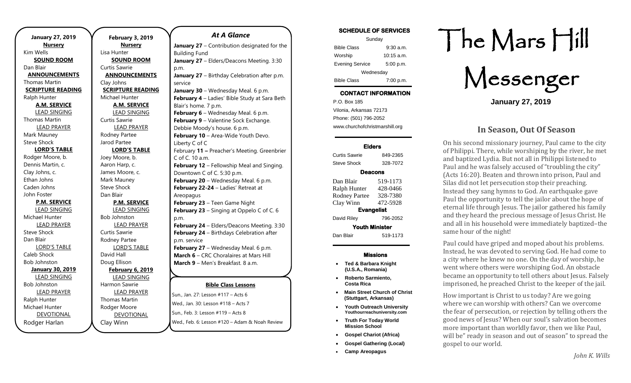**January 27, 2019 Nursery** Kim Wells **SOUND ROOM** Dan Blair **ANNOUNCEMENTS** Thomas Martin **SCRIPTURE READING** Ralph Hunter **A.M. SERVICE** LEAD SINGING Thomas Martin LEAD PRAYER Mark Mauney Steve Shock **LORD'S TABLE** Rodger Moore, b. Dennis Martin, c. Clay Johns, c. Ethan Johns Caden Johns John Foster **P.M. SERVICE** LEAD SINGING Michael Hunter LEAD PRAYER Steve Shock Dan Blair LORD'S TABLE Caleb Shock Bob Johnston **January 30, 2019** LEAD SINGING Bob Johnston LEAD PRAYER Ralph Hunter Michael Hunter DEVOTIONAL Rodger Harlan

**February 3, 2019 Nursery** Lisa Hunter **SOUND ROOM** Curtis Sawrie **ANNOUNCEMENTS** Clay Johns **SCRIPTURE READING** Michael Hunter **A.M. SERVICE** LEAD SINGING Curtis Sawrie LEAD PRAYER Rodney Partee Jarod Partee **LORD'S TABLE** Joey Moore, b. Aaron Harp, c. James Moore, c. Mark Mauney Steve Shock Dan Blair **P.M. SERVICE** LEAD SINGING Bob Johnston LEAD PRAYER Curtis Sawrie Rodney Partee LORD'S TABLE David Hall Doug Ellison **February 6, 2019** LEAD SINGING Harmon Sawrie LEAD PRAYER Thomas Martin Rodger Moore DEVOTIONAL

Clay Winn

#### *At A Glance*

**January 27** – Contribution designated for the Building Fund **January 27** – Elders/Deacons Meeting. 3:30 p.m. **January 27** – Birthday Celebration after p.m. service **January 30** – Wednesday Meal. 6 p.m. **February 4** – Ladies' Bible Study at Sara Beth Blair's home. 7 p.m. **February 6** – Wednesday Meal. 6 p.m. **February 9** – Valentine Sock Exchange. Debbie Moody's house. 6 p.m. **February 10 - Area-Wide Youth Devo.** Liberty C of C February **11 –** Preacher's Meeting. Greenbrier C of C. 10 a.m. **February 12** – Fellowship Meal and Singing. Downtown C of C. 5:30 p.m. **February 20** – Wednesday Meal. 6 p.m. **February 22-24** – Ladies' Retreat at Areopagus **February 23** – Teen Game Night **February 23** – Singing at Oppelo C of C. 6 p.m. **February 24** – Elders/Deacons Meeting. 3:30 **February 24** – Birthdays Celebration after p.m. service **February 27** – Wednesday Meal. 6 p.m. **March 6** – CRC Choralaires at Mars Hill **March 9** – Men's Breakfast. 8 a.m.

#### **Bible Class Lessons March 10** – Daylight Savings Time Begins

**March 31** – Potluck and early evening service

Sun., Jan. 27: Lesson #117 - Acts 6 **Wed., Jan. 30: Lesson #118 – Acts 7** سود بن بين المستودع .<br>Sun., Feb. 3: Lesson #119 – Acts 8 Wed., Feb. 6: Lesson #120 – Adam & Noah Review **March 17 Carlo Box Packing Day 19 Pacts** 8

| <b>SCHEDULE OF SERVICES</b> |             |
|-----------------------------|-------------|
| Sunday                      |             |
| <b>Bible Class</b>          | $9:30$ a.m. |
| Worship                     | 10:15 a.m.  |
| <b>Evening Service</b>      | 5:00 p.m.   |
| Wednesday                   |             |
| <b>Bible Class</b>          | 7:00 p.m.   |

# **CONTACT INFORMATION**

. .o. Box 166<br>Vilonia, Arkansas 72173 P.O. Box 185 Phone: (501) 796-2052 www.churchofchristmarshill.org

#### **Elders**

Curtis Sawrie 849-2365 Steve Shock 328-7072 **Deacons**  Dan Blair 519-1173 Ralph Hunter 428-0466 Rodney Partee 328-7380 Clay Winn 472-5928

**Evangelist**  David Riley 796-2052

**Youth Minister** 

Dan Blair 519-1173

#### **Missions**

- **Ted & Barbara Knight (U.S.A., Romania)**
- **Roberto Sarmiento, Costa Rica**
- **Main Street Church of Christ (Stuttgart, Arkansas)**
- **Youth Outreach University Youthourreachuniversity.com**
- **Truth For Today World Mission School**
- **Gospel Chariot (Africa)**
- **Gospel Gathering (Local)**
- **Camp Areopagus**

# The Mars Hill

Messenger

**January 27, 2019**

## **In Season, Out Of Season**

On his second missionary journey, Paul came to the city of Philippi. There, while worshiping by the river, he met and baptized Lydia. But not all in Philippi listened to Paul and he was falsely accused of "troubling the city" (Acts 16:20). Beaten and thrown into prison, Paul and Silas did not let persecution stop their preaching. Instead they sang hymns to God. An earthquake gave Paul the opportunity to tell the jailor about the hope of eternal life through Jesus. The jailor gathered his family and they heard the precious message of Jesus Christ. He and all in his household were immediately baptized–the same hour of the night!

Paul could have griped and moped about his problems. Instead, he was devoted to serving God. He had come to a city where he knew no one. On the day of worship, he went where others were worshiping God. An obstacle became an opportunity to tell others about Jesus. Falsely imprisoned, he preached Christ to the keeper of the jail.

How important is Christ to us today? Are we going where we can worship with others? Can we overcome the fear of persecution, or rejection by telling others the good news of Jesus? When our soul's salvation becomes more important than worldly favor, then we like Paul, will be" ready in season and out of season" to spread the gospel to our world.